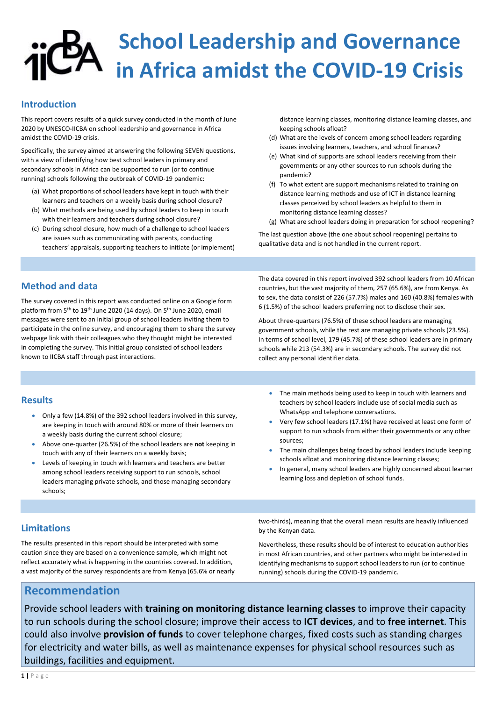# School Leadership and Governance in Africa amidst the COVID-19 Crisis

#### Introduction

This report covers results of a quick survey conducted in the month of June 2020 by UNESCO-IICBA on school leadership and governance in Africa amidst the COVID-19 crisis.

Specifically, the survey aimed at answering the following SEVEN questions, with a view of identifying how best school leaders in primary and secondary schools in Africa can be supported to run (or to continue running) schools following the outbreak of COVID-19 pandemic:

- (a) What proportions of school leaders have kept in touch with their learners and teachers on a weekly basis during school closure?
- (b) What methods are being used by school leaders to keep in touch with their learners and teachers during school closure?
- (c) During school closure, how much of a challenge to school leaders are issues such as communicating with parents, conducting teachers' appraisals, supporting teachers to initiate (or implement)

distance learning classes, monitoring distance learning classes, and keeping schools afloat?

- (d) What are the levels of concern among school leaders regarding issues involving learners, teachers, and school finances?
- (e) What kind of supports are school leaders receiving from their governments or any other sources to run schools during the pandemic?
- (f) To what extent are support mechanisms related to training on distance learning methods and use of ICT in distance learning classes perceived by school leaders as helpful to them in monitoring distance learning classes?
- (g) What are school leaders doing in preparation for school reopening?

The last question above (the one about school reopening) pertains to qualitative data and is not handled in the current report.

#### Method and data

- Only a few (14.8%) of the 392 school leaders involved in this survey, are keeping in touch with around 80% or more of their learners on a weekly basis during the current school closure;
- Above one-quarter (26.5%) of the school leaders are not keeping in touch with any of their learners on a weekly basis;
- Levels of keeping in touch with learners and teachers are better among school leaders receiving support to run schools, school leaders managing private schools, and those managing secondary schools;
- The main methods being used to keep in touch with learners and teachers by school leaders include use of social media such as WhatsApp and telephone conversations.
- Very few school leaders (17.1%) have received at least one form of support to run schools from either their governments or any other sources;
- The main challenges being faced by school leaders include keeping schools afloat and monitoring distance learning classes;
- In general, many school leaders are highly concerned about learner learning loss and depletion of school funds.

The survey covered in this report was conducted online on a Google form platform from 5<sup>th</sup> to 19<sup>th</sup> June 2020 (14 days). On 5<sup>th</sup> June 2020, email messages were sent to an initial group of school leaders inviting them to participate in the online survey, and encouraging them to share the survey webpage link with their colleagues who they thought might be interested in completing the survey. This initial group consisted of school leaders known to IICBA staff through past interactions.

The data covered in this report involved 392 school leaders from 10 African countries, but the vast majority of them, 257 (65.6%), are from Kenya. As to sex, the data consist of 226 (57.7%) males and 160 (40.8%) females with 6 (1.5%) of the school leaders preferring not to disclose their sex.

Provide school leaders with training on monitoring distance learning classes to improve their capacity to run schools during the school closure; improve their access to ICT devices, and to free internet. This could also involve provision of funds to cover telephone charges, fixed costs such as standing charges for electricity and water bills, as well as maintenance expenses for physical school resources such as buildings, facilities and equipment.

1 | P a g e

About three-quarters (76.5%) of these school leaders are managing government schools, while the rest are managing private schools (23.5%). In terms of school level, 179 (45.7%) of these school leaders are in primary schools while 213 (54.3%) are in secondary schools. The survey did not collect any personal identifier data.

#### **Results**

#### Limitations

The results presented in this report should be interpreted with some caution since they are based on a convenience sample, which might not reflect accurately what is happening in the countries covered. In addition, a vast majority of the survey respondents are from Kenya (65.6% or nearly two-thirds), meaning that the overall mean results are heavily influenced

#### by the Kenyan data.

Nevertheless, these results should be of interest to education authorities in most African countries, and other partners who might be interested in identifying mechanisms to support school leaders to run (or to continue running) schools during the COVID-19 pandemic.

### Recommendation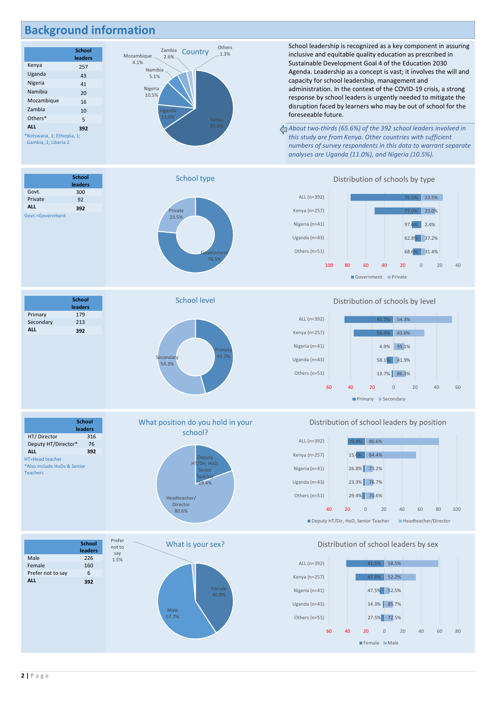2 | P a g e

## Background information

School leadership is recognized as a key component in assuring others of the state of the state of the state of the state of the state of the state of the state of the state<br>Country 1.3% inclusive and equitable quality education as prescribed in Sustainable Development Goal 4 of the Education 2030 Agenda. Leadership as a concept is vast; it involves the will and capacity for school leadership, management and administration. In the context of the COVID-19 crisis, a strong response by school leaders is urgently needed to mitigate the disruption faced by learners who may be out of school for the foreseeable future.

**School** leaders



vernme

About two-thirds (65.6%) of the 392 school leaders involved in 65.6% this study are from Kenya. Other countries with sufficient numbers of survey respondents in this data to warrant separate analyses are Uganda (11.0%), and Nigeria (10.5%).

Primary 179 Secondary 213 ALL 392





School level





#### Distribution of schools by level



#### Distribution of school leaders by position



#### Distribution of school leaders by sex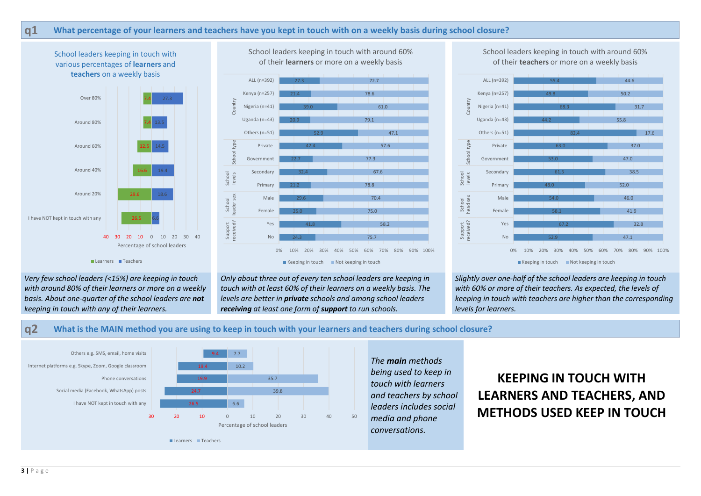Very few school leaders (<15%) are keeping in touch

Only about three out of every ten school leaders are keeping in touch with at least 60% of their learners on a weekly basis. The levels are better in **private** schools and among school leaders receiving at least one form of support to run schools.

with around 80% of their learners or more on a weekly basis. About one-quarter of the school leaders are not keeping in touch with any of their learners.

Slightly over one-half of the school leaders are keeping in touch with 60% or more of their teachers. As expected, the levels of keeping in touch with teachers are higher than the corresponding

levels for learners.

q2 What is the MAIN method you are using to keep in touch with your learners and teachers during school closure?

# KEEPING IN TOUCH WITH LEARNERS AND TEACHERS, AND METHODS USED KEEP IN TOUCH

### q1 What percentage of your learners and teachers have you kept in touch with on a weekly basis during school closure?







Female

Primary

Secondary

Government

Private



Uganda (n=43)

Nigeria (n=41)

Kenya (n=257)

ALL (n=392)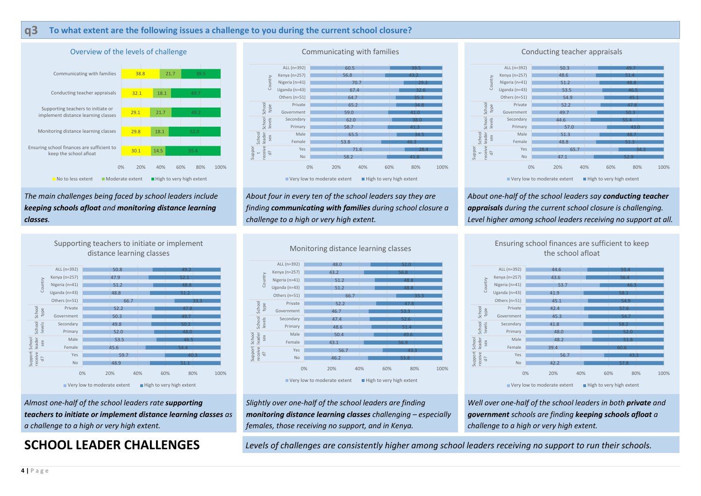#### q3 To what extent are the following issues a challenge to you during the current school closure?

#### The main challenges being faced by school leaders include keeping schools afloat and monitoring distance learning classes.

About four in every ten of the school leaders say they are finding communicating with families during school closure a challenge to a high or very high extent.

# $28.4$  and  $\overline{Q}$   $\frac{9}{100}$   $\frac{1}{100}$  or  $\frac{1}{100}$  or  $\frac{1}{100}$  or  $\frac{1}{100}$  or  $\frac{1}{100}$  or  $\frac{1}{100}$  or  $\frac{1}{100}$  or  $\frac{1}{100}$  or  $\frac{1}{100}$  or  $\frac{1}{100}$  or  $\frac{1}{100}$  or  $\frac{1}{100}$  or  $\frac{1}{100$  $\overline{34.5}$  and  $\overline{9}$   $\overline{9}$   $\overline{4}$   $\times$   $\overline{1}$ ال المسابق المراكزي المسابق المراكزي و المراكزي المراكزي المراكزي المراكزي المراكزي المراكزي المراكزي المراكز<br>المراكزي المراكزي المراكزي المراكزي المراكزي المراكزي المراكزي المراكزي المراكزي المراكزي المراكزي المراكزي ا

About one-half of the school leaders say conducting teacher appraisals during the current school closure is challenging. Level higher among school leaders receiving no support at all.

Well over one-half of the school leaders in both **private** and government schools are finding keeping schools afloat a challenge to a high or very high extent.

Almost one-half of the school leaders rate supporting teachers to initiate or implement distance learning classes as a challenge to a high or very high extent.

Slightly over one-half of the school leaders are finding monitoring distance learning classes challenging – especially females, those receiving no support, and in Kenya.

SCHOOL LEADER CHALLENGES Levels of challenges are consistently higher among school leaders receiving no support to run their schools.

![](_page_3_Figure_1.jpeg)

![](_page_3_Figure_6.jpeg)

![](_page_3_Figure_17.jpeg)

![](_page_3_Figure_3.jpeg)

Supporting teachers to initiate or implement

![](_page_3_Figure_10.jpeg)

![](_page_3_Figure_13.jpeg)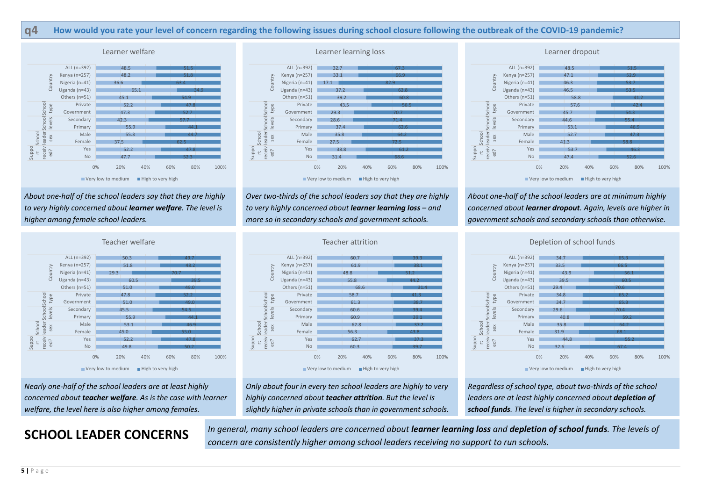About one-half of the school leaders say that they are highly to very highly concerned about learner welfare. The level is higher among female school leaders.

Over two-thirds of the school leaders say that they are highly to very highly concerned about learner learning loss – and more so in secondary schools and government schools.

| ALL (n=392<br>Kenya (n=257<br>Country<br>Nigeria (n=4:<br>Uganda (n=43<br>Others (n=5:<br>leader School Schoo<br>Privat<br>type<br>Governmer<br>levels<br>Secondar<br>Primar<br>School<br>Mal<br>sex<br>Femal<br>oddng<br>receiv<br>Yε<br>ed?<br>ť<br>N |  |
|---------------------------------------------------------------------------------------------------------------------------------------------------------------------------------------------------------------------------------------------------------|--|
|                                                                                                                                                                                                                                                         |  |
|                                                                                                                                                                                                                                                         |  |
|                                                                                                                                                                                                                                                         |  |
|                                                                                                                                                                                                                                                         |  |
|                                                                                                                                                                                                                                                         |  |
|                                                                                                                                                                                                                                                         |  |
|                                                                                                                                                                                                                                                         |  |
|                                                                                                                                                                                                                                                         |  |
|                                                                                                                                                                                                                                                         |  |
|                                                                                                                                                                                                                                                         |  |
|                                                                                                                                                                                                                                                         |  |
|                                                                                                                                                                                                                                                         |  |
|                                                                                                                                                                                                                                                         |  |
|                                                                                                                                                                                                                                                         |  |

Regardless of school type, about two-thirds of the school leaders are at least highly concerned about depletion of school funds. The level is higher in secondary schools.

About one-half of the school leaders are at minimum highly concerned about learner dropout. Again, levels are higher in government schools and secondary schools than otherwise.

SCHOOL LEADER CONCERNS In general, many school leaders are concerned about learner learning loss and depletion of school funds. The levels of concern are consistently higher among school leaders receiving no support to run schools.

### Nearly one-half of the school leaders are at least highly concerned about teacher welfare. As is the case with learner welfare, the level here is also higher among females.

Only about four in every ten school leaders are highly to very highly concerned about teacher attrition. But the level is slightly higher in private schools than in government schools.

### q4 How would you rate your level of concern regarding the following issues during school closure following the outbreak of the COVID-19 pandemic?

![](_page_4_Figure_1.jpeg)

![](_page_4_Figure_7.jpeg)

39.7 and 39.7 and 39.7 and 39.7 and 39.7 and 39.7 and 30.7 and 30.7 and 30.7 and 30.7 and 30.7 and 30.7 and 30  $\frac{37.3}{2}$   $\frac{2}{9}$   $\frac{2}{9}$   $\frac{2}{9}$ 43.8 and 5 and 5 and 5 and 5 and 5 and 5 and 5 and 5 and 5 and 5 and 5 and 5 and 5 and 5 and 5 and 5 and 5 and  $37.2$   $8.4 \times 10^{-10}$ <u>39.1 ਕਿਲ੍ਹੇ ਕਿ ਇਸ ਦੇ ਸ਼੍ਰੋਮਣ ਦੇ ਸ਼੍ਰੋਮਣ ਦੀ ਸ਼੍ਰੋਮਣ ਦੀ ਸ਼੍ਰੋਮਣ ਦੀ ਸ਼੍ਰੋਮਣ ਦੀ ਸ਼੍ਰੋਮਣ ਦੀ ਸ਼੍ਰੋਮਣ ਦੀ ਸ਼੍ਰੋਮਣ ਦੀ ਸ</u>  $39.4$  Second  $39.4$  Second  $39.4$  $\overline{38.7}$  Gove 41.3 31.4 Others (n=51) 44.2 Uganda (n=43)  $38.1$  Kenya 39.3 Female Primar Secondary Government Private Nigeria (n=41) Kenya (n=257) ALL (n=392)

![](_page_4_Figure_17.jpeg)

![](_page_4_Figure_3.jpeg)

![](_page_4_Figure_11.jpeg)

![](_page_4_Figure_19.jpeg)

#### Depletion of school funds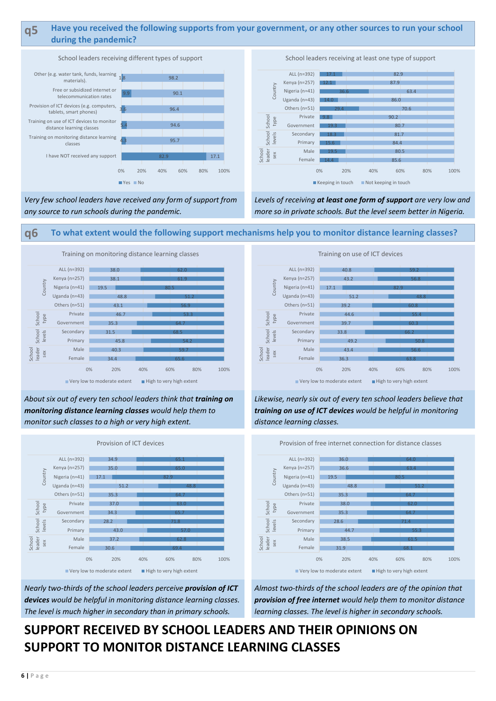#### q5 Have you received the following supports from your government, or any other sources to run your school during the pandemic?

Levels of receiving at least one form of support are very low and more so in private schools. But the level seem better in Nigeria.

Very few school leaders have received any form of support from any source to run schools during the pandemic.

About six out of every ten school leaders think that training on monitoring distance learning classes would help them to monitor such classes to a high or very high extent.

q6 To what extent would the following support mechanisms help you to monitor distance learning classes?

Nearly two-thirds of the school leaders perceive **provision of ICT** devices would be helpful in monitoring distance learning classes. The level is much higher in secondary than in primary schools.

## Likewise, nearly six out of every ten school leaders believe that training on use of ICT devices would be helpful in monitoring distance learning classes.

Almost two-thirds of the school leaders are of the opinion that provision of free internet would help them to monitor distance learning classes. The level is higher in secondary schools.

# SUPPORT RECEIVED BY SCHOOL LEADERS AND THEIR OPINIONS ON SUPPORT TO MONITOR DISTANCE LEARNING CLASSES

![](_page_5_Figure_1.jpeg)

![](_page_5_Figure_4.jpeg)

School leaders receiving at least one type of support

![](_page_5_Figure_7.jpeg)

![](_page_5_Figure_10.jpeg)

![](_page_5_Figure_11.jpeg)

Training on use of ICT devices

![](_page_5_Figure_9.jpeg)

![](_page_5_Figure_15.jpeg)

![](_page_5_Figure_13.jpeg)